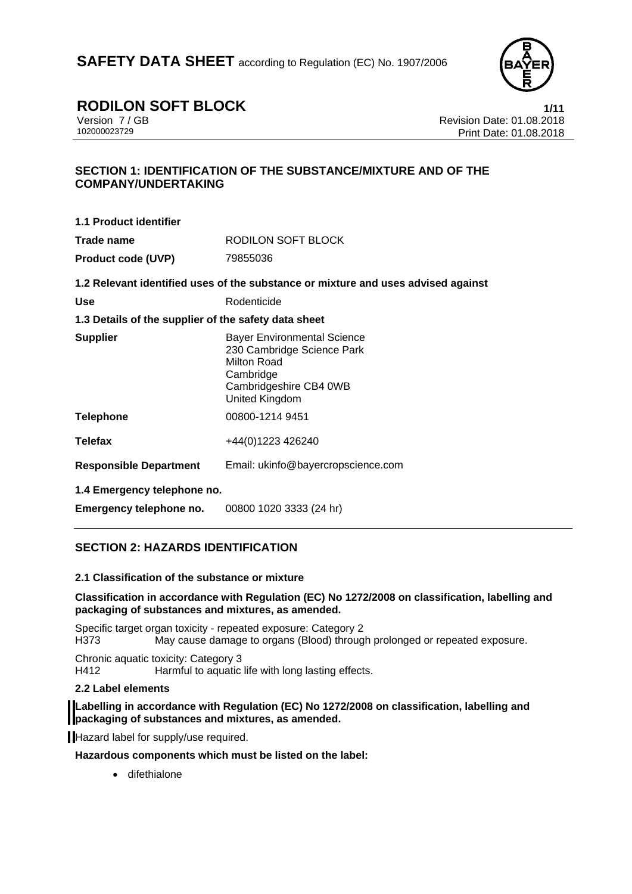

### **RODILON SOFT BLOCK**<br>Version 7/GB<br>Revision Date: 01.08.2018

Version 7 / GB Revision Date: 01.08.2018 Print Date: 01.08.2018

#### **SECTION 1: IDENTIFICATION OF THE SUBSTANCE/MIXTURE AND OF THE COMPANY/UNDERTAKING**

| 1.1 Product identifier                                 |                                                                                                                                          |  |
|--------------------------------------------------------|------------------------------------------------------------------------------------------------------------------------------------------|--|
| Trade name                                             | RODILON SOFT BLOCK                                                                                                                       |  |
| <b>Product code (UVP)</b>                              | 79855036                                                                                                                                 |  |
|                                                        | 1.2 Relevant identified uses of the substance or mixture and uses advised against                                                        |  |
| <b>Use</b>                                             | Rodenticide                                                                                                                              |  |
| 1.3 Details of the supplier of the safety data sheet   |                                                                                                                                          |  |
| <b>Supplier</b>                                        | <b>Bayer Environmental Science</b><br>230 Cambridge Science Park<br>Milton Road<br>Cambridge<br>Cambridgeshire CB4 0WB<br>United Kingdom |  |
| <b>Telephone</b>                                       | 00800-1214 9451                                                                                                                          |  |
| <b>Telefax</b>                                         | +44(0)1223 426240                                                                                                                        |  |
| <b>Responsible Department</b>                          | Email: ukinfo@bayercropscience.com                                                                                                       |  |
| 1.4 Emergency telephone no.<br>Emergency telephone no. | 00800 1020 3333 (24 hr)                                                                                                                  |  |

#### **SECTION 2: HAZARDS IDENTIFICATION**

#### **2.1 Classification of the substance or mixture**

#### **Classification in accordance with Regulation (EC) No 1272/2008 on classification, labelling and packaging of substances and mixtures, as amended.**

Specific target organ toxicity - repeated exposure: Category 2 H373 May cause damage to organs (Blood) through prolonged or repeated exposure.

Chronic aquatic toxicity: Category 3 H412 Harmful to aquatic life with long lasting effects.

#### **2.2 Label elements**

#### **Labelling in accordance with Regulation (EC) No 1272/2008 on classification, labelling and packaging of substances and mixtures, as amended.**

Hazard label for supply/use required.

**Hazardous components which must be listed on the label:** 

**•** difethialone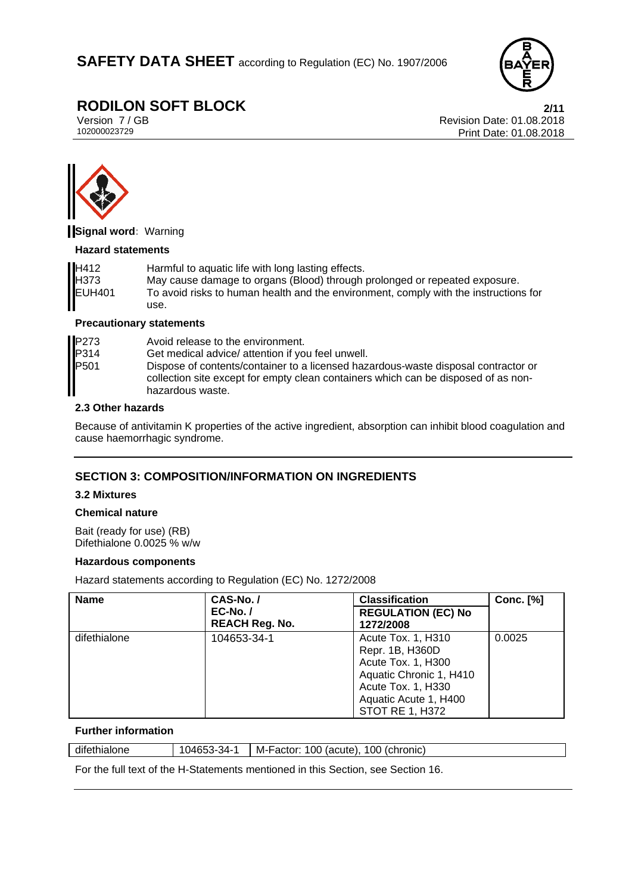

# **RODILON SOFT BLOCK**<br>Version 7/GB<br>Revision Date: 01.08.2018

Version 7 / GB Revision Date: 01.08.2018 Print Date: 01.08.2018



**Signal word:** Warning

#### **Hazard statements**

| H412          | Harmful to aquatic life with long lasting effects.                                   |
|---------------|--------------------------------------------------------------------------------------|
| <b>H373</b>   | May cause damage to organs (Blood) through prolonged or repeated exposure.           |
| <b>EUH401</b> | To avoid risks to human health and the environment, comply with the instructions for |
|               | use.                                                                                 |

#### **Precautionary statements**

| P273<br>P314 | Avoid release to the environment.                                                                                                                                                            |
|--------------|----------------------------------------------------------------------------------------------------------------------------------------------------------------------------------------------|
|              | Get medical advice/ attention if you feel unwell.                                                                                                                                            |
| P501         | Dispose of contents/container to a licensed hazardous-waste disposal contractor or<br>collection site except for empty clean containers which can be disposed of as non-<br>hazardous waste. |

#### **2.3 Other hazards**

Because of antivitamin K properties of the active ingredient, absorption can inhibit blood coagulation and cause haemorrhagic syndrome.

#### **SECTION 3: COMPOSITION/INFORMATION ON INGREDIENTS**

#### **3.2 Mixtures**

#### **Chemical nature**

Bait (ready for use) (RB) Difethialone 0.0025 % w/w

#### **Hazardous components**

Hazard statements according to Regulation (EC) No. 1272/2008

| <b>Name</b>  | CAS-No./                                 | <b>Classification</b>                                                                                                                                           | <b>Conc.</b> [%] |
|--------------|------------------------------------------|-----------------------------------------------------------------------------------------------------------------------------------------------------------------|------------------|
|              | <b>EC-No. /</b><br><b>REACH Reg. No.</b> | <b>REGULATION (EC) No</b><br>1272/2008                                                                                                                          |                  |
| difethialone | 104653-34-1                              | Acute Tox. 1, H310<br>Repr. 1B, H360D<br>Acute Tox. 1, H300<br>Aquatic Chronic 1, H410<br>Acute Tox. 1, H330<br>Aquatic Acute 1, H400<br><b>STOT RE 1, H372</b> | 0.0025           |

#### **Further information**

| difethialone | 34-<br>ハムにん<br>. .<br>″ س.<br>∼-<br>·uJJJ | 100<br>100 (chronic)<br>(acute).<br>M-Factor: |
|--------------|-------------------------------------------|-----------------------------------------------|
|              |                                           |                                               |

For the full text of the H-Statements mentioned in this Section, see Section 16.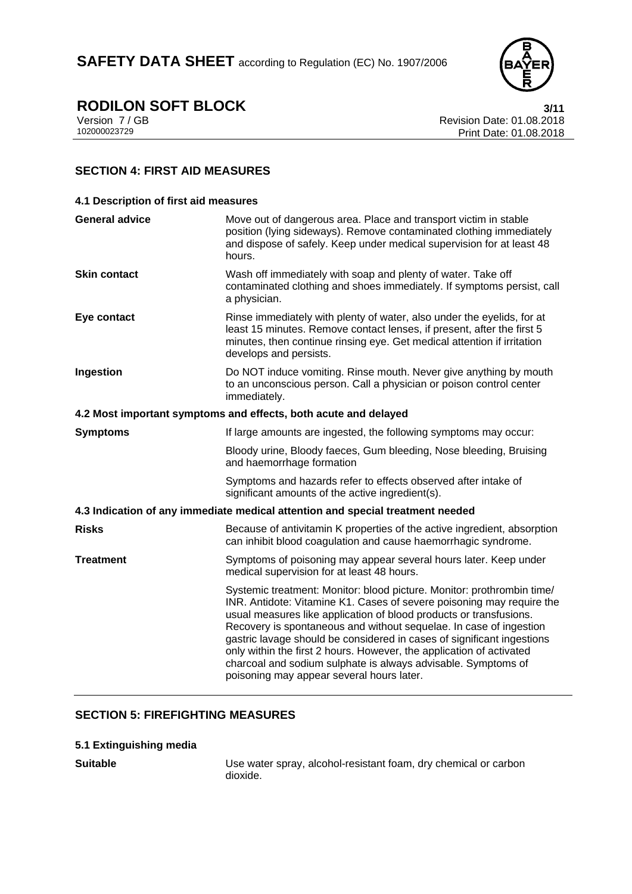

# **RODILON SOFT BLOCK** 3/11<br>Version 7/GB Revision Date: 01.08.2018

Version 7 / GB Revision Date: 01.08.2018 Print Date: 01.08.2018

#### **SECTION 4: FIRST AID MEASURES**

| 4.1 Description of first aid measures                                          |                                                                                                                                                                                                                                                                                                                                                                                                                                                                                                                                                             |  |
|--------------------------------------------------------------------------------|-------------------------------------------------------------------------------------------------------------------------------------------------------------------------------------------------------------------------------------------------------------------------------------------------------------------------------------------------------------------------------------------------------------------------------------------------------------------------------------------------------------------------------------------------------------|--|
| <b>General advice</b>                                                          | Move out of dangerous area. Place and transport victim in stable<br>position (lying sideways). Remove contaminated clothing immediately<br>and dispose of safely. Keep under medical supervision for at least 48<br>hours.                                                                                                                                                                                                                                                                                                                                  |  |
| <b>Skin contact</b>                                                            | Wash off immediately with soap and plenty of water. Take off<br>contaminated clothing and shoes immediately. If symptoms persist, call<br>a physician.                                                                                                                                                                                                                                                                                                                                                                                                      |  |
| Eye contact                                                                    | Rinse immediately with plenty of water, also under the eyelids, for at<br>least 15 minutes. Remove contact lenses, if present, after the first 5<br>minutes, then continue rinsing eye. Get medical attention if irritation<br>develops and persists.                                                                                                                                                                                                                                                                                                       |  |
| Ingestion                                                                      | Do NOT induce vomiting. Rinse mouth. Never give anything by mouth<br>to an unconscious person. Call a physician or poison control center<br>immediately.                                                                                                                                                                                                                                                                                                                                                                                                    |  |
|                                                                                | 4.2 Most important symptoms and effects, both acute and delayed                                                                                                                                                                                                                                                                                                                                                                                                                                                                                             |  |
| <b>Symptoms</b>                                                                | If large amounts are ingested, the following symptoms may occur:                                                                                                                                                                                                                                                                                                                                                                                                                                                                                            |  |
|                                                                                | Bloody urine, Bloody faeces, Gum bleeding, Nose bleeding, Bruising<br>and haemorrhage formation                                                                                                                                                                                                                                                                                                                                                                                                                                                             |  |
|                                                                                | Symptoms and hazards refer to effects observed after intake of<br>significant amounts of the active ingredient(s).                                                                                                                                                                                                                                                                                                                                                                                                                                          |  |
| 4.3 Indication of any immediate medical attention and special treatment needed |                                                                                                                                                                                                                                                                                                                                                                                                                                                                                                                                                             |  |
| <b>Risks</b>                                                                   | Because of antivitamin K properties of the active ingredient, absorption<br>can inhibit blood coagulation and cause haemorrhagic syndrome.                                                                                                                                                                                                                                                                                                                                                                                                                  |  |
| <b>Treatment</b>                                                               | Symptoms of poisoning may appear several hours later. Keep under<br>medical supervision for at least 48 hours.                                                                                                                                                                                                                                                                                                                                                                                                                                              |  |
|                                                                                | Systemic treatment: Monitor: blood picture. Monitor: prothrombin time/<br>INR. Antidote: Vitamine K1. Cases of severe poisoning may require the<br>usual measures like application of blood products or transfusions.<br>Recovery is spontaneous and without sequelae. In case of ingestion<br>gastric lavage should be considered in cases of significant ingestions<br>only within the first 2 hours. However, the application of activated<br>charcoal and sodium sulphate is always advisable. Symptoms of<br>poisoning may appear several hours later. |  |

### **SECTION 5: FIREFIGHTING MEASURES**

#### **5.1 Extinguishing media**

**Suitable** Use water spray, alcohol-resistant foam, dry chemical or carbon dioxide.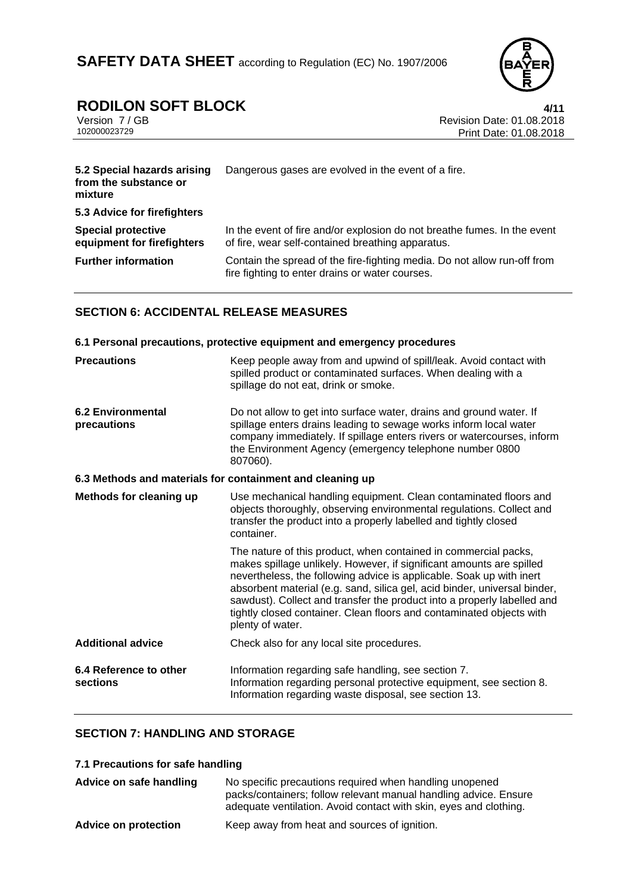

# **RODILON SOFT BLOCK**<br>Version 7/GB **1/11**<br>Revision Date: 01.08.2018

Version 7 / GB Revision Date: 01.08.2018<br>102000023729 Print Date: 01.08.2018 Print Date: 01.08.2018

| 5.2 Special hazards arising<br>from the substance or<br>mixture | Dangerous gases are evolved in the event of a fire.                                                                           |  |
|-----------------------------------------------------------------|-------------------------------------------------------------------------------------------------------------------------------|--|
| 5.3 Advice for firefighters                                     |                                                                                                                               |  |
| <b>Special protective</b><br>equipment for firefighters         | In the event of fire and/or explosion do not breathe fumes. In the event<br>of fire, wear self-contained breathing apparatus. |  |
| <b>Further information</b>                                      | Contain the spread of the fire-fighting media. Do not allow run-off from<br>fire fighting to enter drains or water courses.   |  |

#### **SECTION 6: ACCIDENTAL RELEASE MEASURES**

| 6.1 Personal precautions, protective equipment and emergency procedures |                                                                                                                                                                                                                                                                                                                                                                                                                                                                     |  |
|-------------------------------------------------------------------------|---------------------------------------------------------------------------------------------------------------------------------------------------------------------------------------------------------------------------------------------------------------------------------------------------------------------------------------------------------------------------------------------------------------------------------------------------------------------|--|
| <b>Precautions</b>                                                      | Keep people away from and upwind of spill/leak. Avoid contact with<br>spilled product or contaminated surfaces. When dealing with a<br>spillage do not eat, drink or smoke.                                                                                                                                                                                                                                                                                         |  |
| <b>6.2 Environmental</b><br>precautions                                 | Do not allow to get into surface water, drains and ground water. If<br>spillage enters drains leading to sewage works inform local water<br>company immediately. If spillage enters rivers or watercourses, inform<br>the Environment Agency (emergency telephone number 0800<br>807060).                                                                                                                                                                           |  |
| 6.3 Methods and materials for containment and cleaning up               |                                                                                                                                                                                                                                                                                                                                                                                                                                                                     |  |
| Methods for cleaning up                                                 | Use mechanical handling equipment. Clean contaminated floors and<br>objects thoroughly, observing environmental regulations. Collect and<br>transfer the product into a properly labelled and tightly closed<br>container.                                                                                                                                                                                                                                          |  |
|                                                                         | The nature of this product, when contained in commercial packs,<br>makes spillage unlikely. However, if significant amounts are spilled<br>nevertheless, the following advice is applicable. Soak up with inert<br>absorbent material (e.g. sand, silica gel, acid binder, universal binder,<br>sawdust). Collect and transfer the product into a properly labelled and<br>tightly closed container. Clean floors and contaminated objects with<br>plenty of water. |  |
| <b>Additional advice</b>                                                | Check also for any local site procedures.                                                                                                                                                                                                                                                                                                                                                                                                                           |  |
| 6.4 Reference to other<br>sections                                      | Information regarding safe handling, see section 7.<br>Information regarding personal protective equipment, see section 8.<br>Information regarding waste disposal, see section 13.                                                                                                                                                                                                                                                                                 |  |

#### **SECTION 7: HANDLING AND STORAGE**

**7.1 Precautions for safe handling** 

| Advice on safe handling     | No specific precautions required when handling unopened<br>packs/containers; follow relevant manual handling advice. Ensure<br>adequate ventilation. Avoid contact with skin, eyes and clothing. |
|-----------------------------|--------------------------------------------------------------------------------------------------------------------------------------------------------------------------------------------------|
| <b>Advice on protection</b> | Keep away from heat and sources of ignition.                                                                                                                                                     |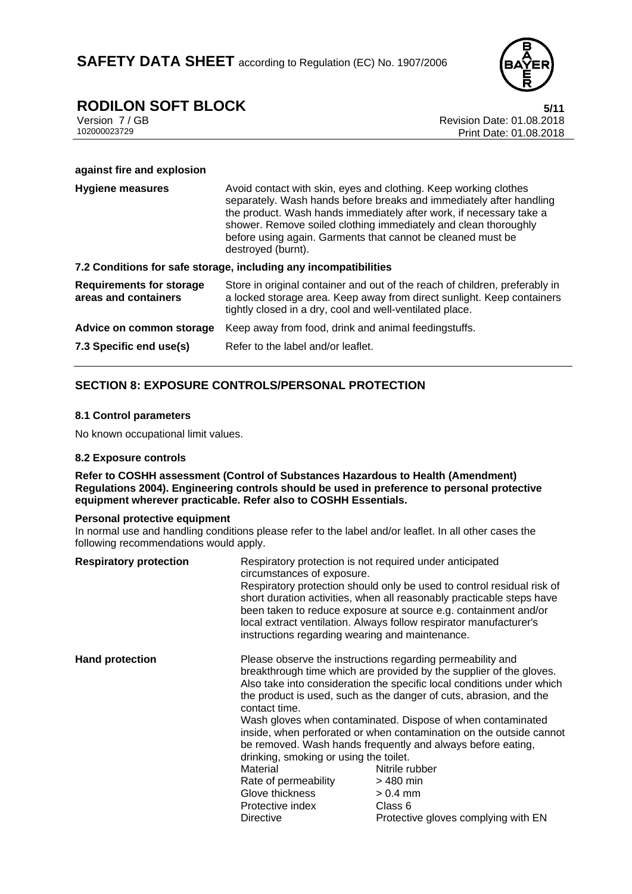

### **RODILON SOFT BLOCK**<br>Version 7/GB **5/11**<br>Revision Date: 01.08.2018

Version 7 / GB Revision Date: 01.08.2018 Print Date: 01.08.2018

#### **against fire and explosion**

| <b>Hygiene measures</b>                                 | Avoid contact with skin, eyes and clothing. Keep working clothes<br>separately. Wash hands before breaks and immediately after handling<br>the product. Wash hands immediately after work, if necessary take a<br>shower. Remove soiled clothing immediately and clean thoroughly<br>before using again. Garments that cannot be cleaned must be<br>destroyed (burnt). |
|---------------------------------------------------------|------------------------------------------------------------------------------------------------------------------------------------------------------------------------------------------------------------------------------------------------------------------------------------------------------------------------------------------------------------------------|
|                                                         | 7.2 Conditions for safe storage, including any incompatibilities                                                                                                                                                                                                                                                                                                       |
| <b>Requirements for storage</b><br>areas and containers | Store in original container and out of the reach of children, preferably in<br>a locked storage area. Keep away from direct sunlight. Keep containers<br>tightly closed in a dry, cool and well-ventilated place.                                                                                                                                                      |
| Advice on common storage                                | Keep away from food, drink and animal feedingstuffs.                                                                                                                                                                                                                                                                                                                   |
| 7.3 Specific end use(s)                                 | Refer to the label and/or leaflet.                                                                                                                                                                                                                                                                                                                                     |

#### **SECTION 8: EXPOSURE CONTROLS/PERSONAL PROTECTION**

#### **8.1 Control parameters**

No known occupational limit values.

#### **8.2 Exposure controls**

**Refer to COSHH assessment (Control of Substances Hazardous to Health (Amendment) Regulations 2004). Engineering controls should be used in preference to personal protective equipment wherever practicable. Refer also to COSHH Essentials.**

#### **Personal protective equipment**

In normal use and handling conditions please refer to the label and/or leaflet. In all other cases the following recommendations would apply.

| <b>Respiratory protection</b> | Respiratory protection is not required under anticipated<br>circumstances of exposure.<br>instructions regarding wearing and maintenance.              | Respiratory protection should only be used to control residual risk of<br>short duration activities, when all reasonably practicable steps have<br>been taken to reduce exposure at source e.g. containment and/or<br>local extract ventilation. Always follow respirator manufacturer's                                                                                                                                                                                                                                                                                               |
|-------------------------------|--------------------------------------------------------------------------------------------------------------------------------------------------------|----------------------------------------------------------------------------------------------------------------------------------------------------------------------------------------------------------------------------------------------------------------------------------------------------------------------------------------------------------------------------------------------------------------------------------------------------------------------------------------------------------------------------------------------------------------------------------------|
| <b>Hand protection</b>        | contact time.<br>drinking, smoking or using the toilet.<br>Material<br>Rate of permeability<br>Glove thickness<br>Protective index<br><b>Directive</b> | Please observe the instructions regarding permeability and<br>breakthrough time which are provided by the supplier of the gloves.<br>Also take into consideration the specific local conditions under which<br>the product is used, such as the danger of cuts, abrasion, and the<br>Wash gloves when contaminated. Dispose of when contaminated<br>inside, when perforated or when contamination on the outside cannot<br>be removed. Wash hands frequently and always before eating,<br>Nitrile rubber<br>$>480$ min<br>$> 0.4$ mm<br>Class 6<br>Protective gloves complying with EN |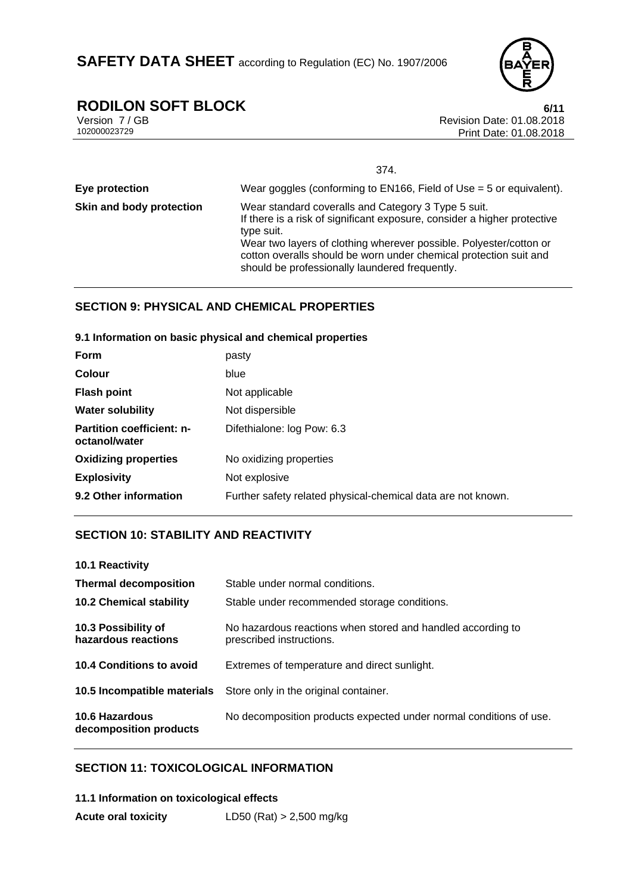# **RODILON SOFT BLOCK**<br>Version 7/GB<br>Revision Date: 01.08.2018

Version 7 / GB Revision Date: 01.08.2018 Print Date: 01.08.2018

|                          | 374.                                                                                                                                                                                                                                                                                                                                       |
|--------------------------|--------------------------------------------------------------------------------------------------------------------------------------------------------------------------------------------------------------------------------------------------------------------------------------------------------------------------------------------|
| Eye protection           | Wear goggles (conforming to $EN166$ , Field of Use = 5 or equivalent).                                                                                                                                                                                                                                                                     |
| Skin and body protection | Wear standard coveralls and Category 3 Type 5 suit.<br>If there is a risk of significant exposure, consider a higher protective<br>type suit.<br>Wear two layers of clothing wherever possible. Polyester/cotton or<br>cotton overalls should be worn under chemical protection suit and<br>should be professionally laundered frequently. |

#### **SECTION 9: PHYSICAL AND CHEMICAL PROPERTIES**

#### **9.1 Information on basic physical and chemical properties**

| Form                                              | pasty                                                        |
|---------------------------------------------------|--------------------------------------------------------------|
| <b>Colour</b>                                     | blue                                                         |
| <b>Flash point</b>                                | Not applicable                                               |
| <b>Water solubility</b>                           | Not dispersible                                              |
| <b>Partition coefficient: n-</b><br>octanol/water | Difethialone: log Pow: 6.3                                   |
| <b>Oxidizing properties</b>                       | No oxidizing properties                                      |
| <b>Explosivity</b>                                | Not explosive                                                |
| 9.2 Other information                             | Further safety related physical-chemical data are not known. |

#### **SECTION 10: STABILITY AND REACTIVITY**

| 10.1 Reactivity                                 |                                                                                         |
|-------------------------------------------------|-----------------------------------------------------------------------------------------|
| <b>Thermal decomposition</b>                    | Stable under normal conditions.                                                         |
| <b>10.2 Chemical stability</b>                  | Stable under recommended storage conditions.                                            |
| 10.3 Possibility of<br>hazardous reactions      | No hazardous reactions when stored and handled according to<br>prescribed instructions. |
| 10.4 Conditions to avoid                        | Extremes of temperature and direct sunlight.                                            |
| 10.5 Incompatible materials                     | Store only in the original container.                                                   |
| <b>10.6 Hazardous</b><br>decomposition products | No decomposition products expected under normal conditions of use.                      |

#### **SECTION 11: TOXICOLOGICAL INFORMATION**

| 11.1 Information on toxicological effects |                            |
|-------------------------------------------|----------------------------|
| <b>Acute oral toxicity</b>                | LD50 (Rat) $> 2,500$ mg/kg |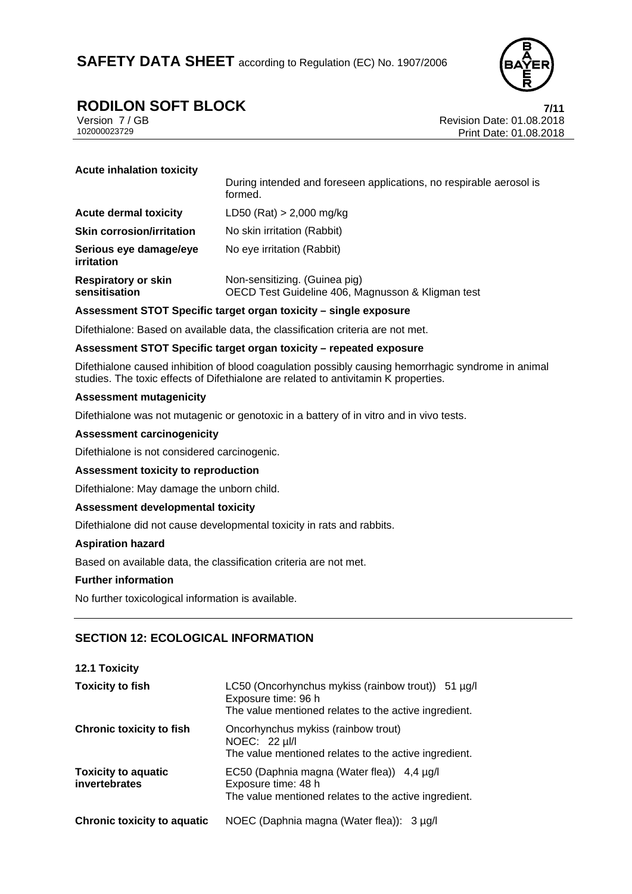

### **RODILON SOFT BLOCK 7/11**

Version 7 / GB Revision Date: 01.08.2018 Print Date: 01.08.2018

**Acute inhalation toxicity** 

|                                             | During intended and foreseen applications, no respirable aerosol is<br>formed.     |
|---------------------------------------------|------------------------------------------------------------------------------------|
| <b>Acute dermal toxicity</b>                | LD50 (Rat) $> 2,000$ mg/kg                                                         |
| <b>Skin corrosion/irritation</b>            | No skin irritation (Rabbit)                                                        |
| Serious eye damage/eye<br>irritation        | No eye irritation (Rabbit)                                                         |
| <b>Respiratory or skin</b><br>sensitisation | Non-sensitizing. (Guinea pig)<br>OECD Test Guideline 406, Magnusson & Kligman test |

#### **Assessment STOT Specific target organ toxicity – single exposure**

Difethialone: Based on available data, the classification criteria are not met.

#### **Assessment STOT Specific target organ toxicity – repeated exposure**

Difethialone caused inhibition of blood coagulation possibly causing hemorrhagic syndrome in animal studies. The toxic effects of Difethialone are related to antivitamin K properties.

#### **Assessment mutagenicity**

Difethialone was not mutagenic or genotoxic in a battery of in vitro and in vivo tests.

#### **Assessment carcinogenicity**

Difethialone is not considered carcinogenic.

#### **Assessment toxicity to reproduction**

Difethialone: May damage the unborn child.

#### **Assessment developmental toxicity**

Difethialone did not cause developmental toxicity in rats and rabbits.

#### **Aspiration hazard**

Based on available data, the classification criteria are not met.

#### **Further information**

No further toxicological information is available.

#### **SECTION 12: ECOLOGICAL INFORMATION**

#### **12.1 Toxicity**

| <b>Toxicity to fish</b>                     | LC50 (Oncorhynchus mykiss (rainbow trout)) 51 $\mu$ g/l<br>Exposure time: 96 h<br>The value mentioned relates to the active ingredient. |
|---------------------------------------------|-----------------------------------------------------------------------------------------------------------------------------------------|
| <b>Chronic toxicity to fish</b>             | Oncorhynchus mykiss (rainbow trout)<br>NOEC: 22 µl/l<br>The value mentioned relates to the active ingredient.                           |
| <b>Toxicity to aquatic</b><br>invertebrates | EC50 (Daphnia magna (Water flea)) 4,4 µg/l<br>Exposure time: 48 h<br>The value mentioned relates to the active ingredient.              |
| <b>Chronic toxicity to aquatic</b>          | NOEC (Daphnia magna (Water flea)): 3 µg/l                                                                                               |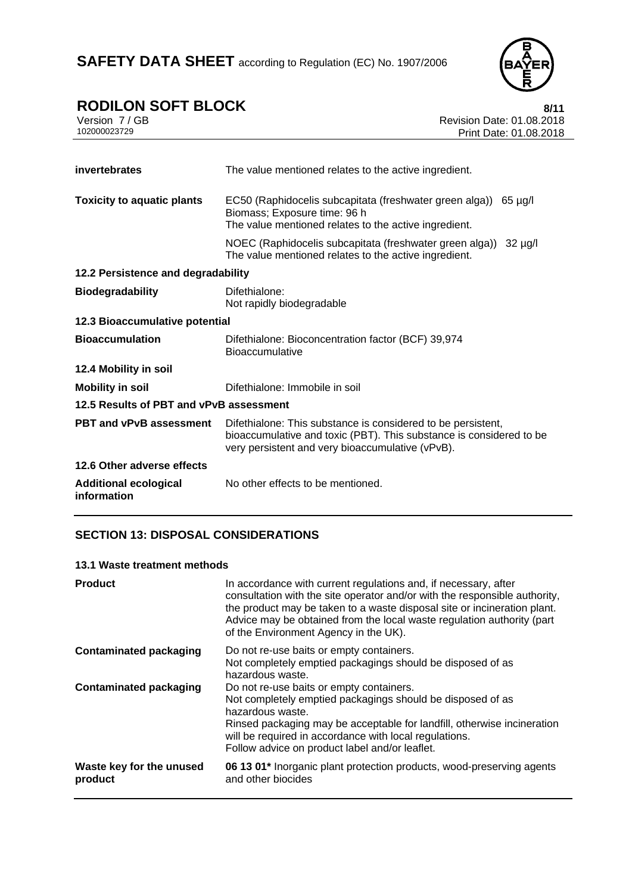

### **RODILON SOFT BLOCK** 8/11

| Version 7 / GB |  |
|----------------|--|
| 102000023729   |  |

Revision Date: 01.08.2018 Print Date: 01.08.2018

| invertebrates                               | The value mentioned relates to the active ingredient.                                                                                                                                   |
|---------------------------------------------|-----------------------------------------------------------------------------------------------------------------------------------------------------------------------------------------|
| <b>Toxicity to aquatic plants</b>           | EC50 (Raphidocelis subcapitata (freshwater green alga)) 65 µg/l<br>Biomass; Exposure time: 96 h<br>The value mentioned relates to the active ingredient.                                |
|                                             | NOEC (Raphidocelis subcapitata (freshwater green alga))<br>$32 \mu g/l$<br>The value mentioned relates to the active ingredient.                                                        |
| 12.2 Persistence and degradability          |                                                                                                                                                                                         |
| <b>Biodegradability</b>                     | Difethialone:<br>Not rapidly biodegradable                                                                                                                                              |
| 12.3 Bioaccumulative potential              |                                                                                                                                                                                         |
| <b>Bioaccumulation</b>                      | Difethialone: Bioconcentration factor (BCF) 39,974<br><b>Bioaccumulative</b>                                                                                                            |
| 12.4 Mobility in soil                       |                                                                                                                                                                                         |
| <b>Mobility in soil</b>                     | Difethialone: Immobile in soil                                                                                                                                                          |
| 12.5 Results of PBT and vPvB assessment     |                                                                                                                                                                                         |
| <b>PBT and vPvB assessment</b>              | Difethialone: This substance is considered to be persistent,<br>bioaccumulative and toxic (PBT). This substance is considered to be<br>very persistent and very bioaccumulative (vPvB). |
| 12.6 Other adverse effects                  |                                                                                                                                                                                         |
| <b>Additional ecological</b><br>information | No other effects to be mentioned.                                                                                                                                                       |

#### **SECTION 13: DISPOSAL CONSIDERATIONS**

#### **13.1 Waste treatment methods**

| <b>Product</b>                      | In accordance with current regulations and, if necessary, after<br>consultation with the site operator and/or with the responsible authority,<br>the product may be taken to a waste disposal site or incineration plant.<br>Advice may be obtained from the local waste regulation authority (part<br>of the Environment Agency in the UK). |
|-------------------------------------|----------------------------------------------------------------------------------------------------------------------------------------------------------------------------------------------------------------------------------------------------------------------------------------------------------------------------------------------|
| <b>Contaminated packaging</b>       | Do not re-use baits or empty containers.<br>Not completely emptied packagings should be disposed of as<br>hazardous waste.                                                                                                                                                                                                                   |
| <b>Contaminated packaging</b>       | Do not re-use baits or empty containers.<br>Not completely emptied packagings should be disposed of as<br>hazardous waste.<br>Rinsed packaging may be acceptable for landfill, otherwise incineration<br>will be required in accordance with local regulations.<br>Follow advice on product label and/or leaflet.                            |
| Waste key for the unused<br>product | 06 13 01* Inorganic plant protection products, wood-preserving agents<br>and other biocides                                                                                                                                                                                                                                                  |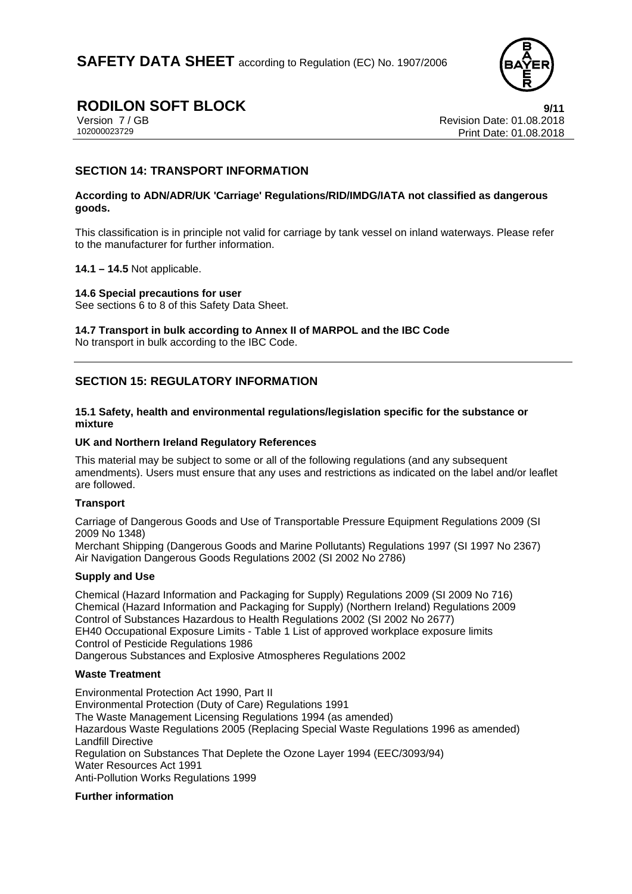

### **RODILON SOFT BLOCK 9/11**

Version 7 / GB<br>102000023729<br>Print Date: 01.08.2018 Print Date: 01.08.2018

#### **SECTION 14: TRANSPORT INFORMATION**

#### **According to ADN/ADR/UK 'Carriage' Regulations/RID/IMDG/IATA not classified as dangerous goods.**

This classification is in principle not valid for carriage by tank vessel on inland waterways. Please refer to the manufacturer for further information.

#### **14.1 – 14.5** Not applicable.

#### **14.6 Special precautions for user**

See sections 6 to 8 of this Safety Data Sheet.

**14.7 Transport in bulk according to Annex II of MARPOL and the IBC Code** 

No transport in bulk according to the IBC Code.

#### **SECTION 15: REGULATORY INFORMATION**

#### **15.1 Safety, health and environmental regulations/legislation specific for the substance or mixture**

#### **UK and Northern Ireland Regulatory References**

This material may be subject to some or all of the following regulations (and any subsequent amendments). Users must ensure that any uses and restrictions as indicated on the label and/or leaflet are followed.

#### **Transport**

Carriage of Dangerous Goods and Use of Transportable Pressure Equipment Regulations 2009 (SI 2009 No 1348)

Merchant Shipping (Dangerous Goods and Marine Pollutants) Regulations 1997 (SI 1997 No 2367) Air Navigation Dangerous Goods Regulations 2002 (SI 2002 No 2786)

#### **Supply and Use**

Chemical (Hazard Information and Packaging for Supply) Regulations 2009 (SI 2009 No 716) Chemical (Hazard Information and Packaging for Supply) (Northern Ireland) Regulations 2009 Control of Substances Hazardous to Health Regulations 2002 (SI 2002 No 2677) EH40 Occupational Exposure Limits - Table 1 List of approved workplace exposure limits Control of Pesticide Regulations 1986 Dangerous Substances and Explosive Atmospheres Regulations 2002

#### **Waste Treatment**

Environmental Protection Act 1990, Part II Environmental Protection (Duty of Care) Regulations 1991 The Waste Management Licensing Regulations 1994 (as amended) Hazardous Waste Regulations 2005 (Replacing Special Waste Regulations 1996 as amended) Landfill Directive Regulation on Substances That Deplete the Ozone Layer 1994 (EEC/3093/94) Water Resources Act 1991 Anti-Pollution Works Regulations 1999

#### **Further information**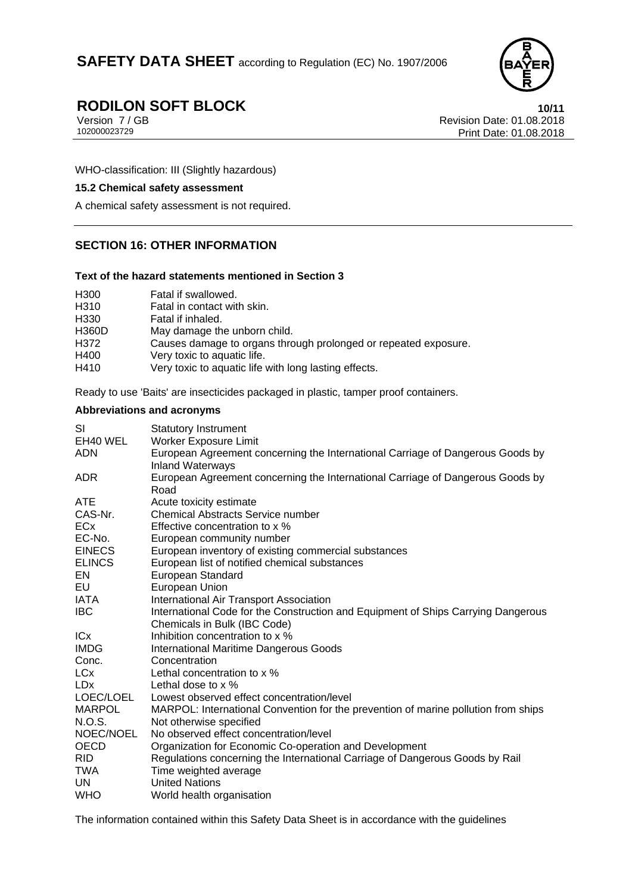

# **RODILON SOFT BLOCK**<br>Version 7/GB Revision Date: 01.08.2018

Version 7 / GB Revision Date: 01.08.2018 Print Date: 01.08.2018

WHO-classification: III (Slightly hazardous)

#### **15.2 Chemical safety assessment**

A chemical safety assessment is not required.

#### **SECTION 16: OTHER INFORMATION**

#### **Text of the hazard statements mentioned in Section 3**

| H <sub>300</sub> | Fatal if swallowed.                                             |
|------------------|-----------------------------------------------------------------|
| H310             | Fatal in contact with skin.                                     |
| H <sub>330</sub> | Fatal if inhaled.                                               |
| <b>H360D</b>     | May damage the unborn child.                                    |
| H372             | Causes damage to organs through prolonged or repeated exposure. |
| H400             | Very toxic to aquatic life.                                     |
| H410             | Very toxic to aquatic life with long lasting effects.           |

Ready to use 'Baits' are insecticides packaged in plastic, tamper proof containers.

#### **Abbreviations and acronyms**

| <b>Statutory Instrument</b>                                                                                       |
|-------------------------------------------------------------------------------------------------------------------|
| <b>Worker Exposure Limit</b>                                                                                      |
| European Agreement concerning the International Carriage of Dangerous Goods by<br><b>Inland Waterways</b>         |
| European Agreement concerning the International Carriage of Dangerous Goods by<br>Road                            |
| Acute toxicity estimate                                                                                           |
| <b>Chemical Abstracts Service number</b>                                                                          |
| Effective concentration to x %                                                                                    |
| European community number                                                                                         |
| European inventory of existing commercial substances                                                              |
| European list of notified chemical substances                                                                     |
| European Standard                                                                                                 |
| European Union                                                                                                    |
| International Air Transport Association                                                                           |
| International Code for the Construction and Equipment of Ships Carrying Dangerous<br>Chemicals in Bulk (IBC Code) |
| Inhibition concentration to x %                                                                                   |
| International Maritime Dangerous Goods                                                                            |
| Concentration                                                                                                     |
| Lethal concentration to x %                                                                                       |
| Lethal dose to x %                                                                                                |
| Lowest observed effect concentration/level                                                                        |
| MARPOL: International Convention for the prevention of marine pollution from ships                                |
| Not otherwise specified                                                                                           |
| No observed effect concentration/level                                                                            |
| Organization for Economic Co-operation and Development                                                            |
| Regulations concerning the International Carriage of Dangerous Goods by Rail                                      |
| Time weighted average                                                                                             |
| <b>United Nations</b>                                                                                             |
| World health organisation                                                                                         |
|                                                                                                                   |

The information contained within this Safety Data Sheet is in accordance with the guidelines